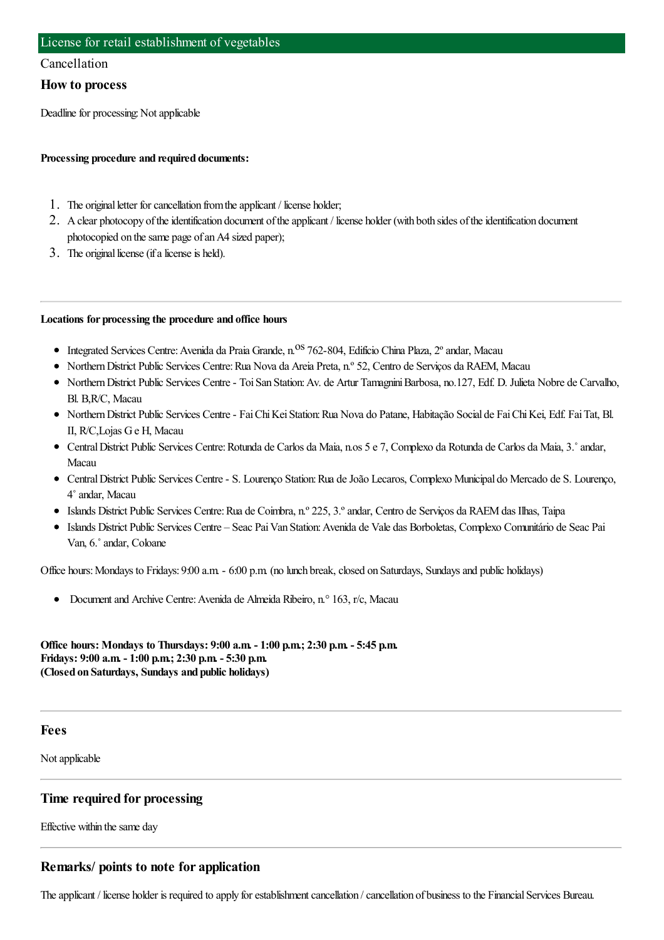## Cancellation

## **How to process**

Deadline for processing: Not applicable

## **Processing procedure and required documents:**

- 1. The original letter for cancellation from the applicant / license holder;
- 2. A clear photocopy of the identification document of the applicant / license holder (with both sides of the identification document photocopied on the same page of an A4 sized paper);
- 3. The original license (if a license is held).

## **Locations for processing the procedure and office hours**

- Integrated Services Centre: Avenida da Praia Grande, n.<sup>os</sup> 762-804, Edifício China Plaza, 2° andar, Macau
- Northern District Public Services Centre: Rua Nova da Areia Preta, n.º 52, Centro de Servicos da RAEM, Macau
- NorthernDistrict Public Services Centre- ToiSan Station:Av. de Artur TamagniniBarbosa, no.127, Edf. D. Julieta Nobre de Carvalho, Bl. B,R/C, Macau
- NorthernDistrict Public Services Centre- FaiChiKeiStation:Rua Nova do Patane, Habitação Social de FaiChiKei, Edf. FaiTat, Bl. II, R/C,Lojas Ge H, Macau
- CentralDistrict Public Services Centre:Rotunda de Carlos da Maia, n.os 5 e 7, Complexo da Rotunda de Carlos da Maia, 3.˚andar, Macau
- CentralDistrict Public Services Centre- S. Lourenço Station:Rua deJoão Lecaros, Complexo Municipal do Mercado de S. Lourenço, 4˚andar, Macau
- Islands District Public Services Centre:Rua de Coimbra, n.º 225, 3.ºandar, Centro de Serviços da RAEMdas Ilhas, Taipa
- Islands District Public Services Centre Seac PaiVan Station:Avenida de Vale das Borboletas, Complexo Comunitário de Seac Pai Van, 6.˚andar, Coloane

Office hours: Mondays to Fridays: 9:00 a.m. - 6:00 p.m. (no lunch break, closed on Saturdays, Sundays and public holidays)

Document and Archive Centre: Avenida de Almeida Ribeiro, n.º 163, r/c, Macau

**Office hours: Mondays to Thursdays: 9:00 a.m. - 1:00 p.m.; 2:30 p.m. - 5:45 p.m. Fridays: 9:00 a.m. - 1:00 p.m.; 2:30 p.m. - 5:30 p.m. (Closed on Saturdays, Sundays and public holidays)**

#### **Fees**

Not applicable

## **Time required for processing**

Effective within the same day

## **Remarks/ points to note for application**

The applicant / license holder is required to apply for establishment cancellation / cancellation of business to the Financial Services Bureau.